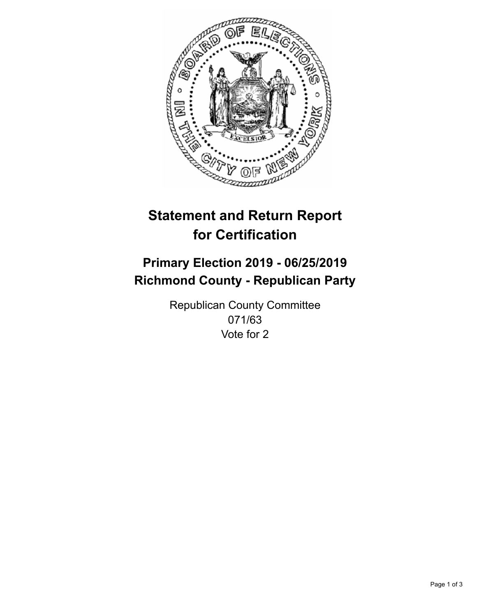

## **Statement and Return Report for Certification**

## **Primary Election 2019 - 06/25/2019 Richmond County - Republican Party**

Republican County Committee 071/63 Vote for 2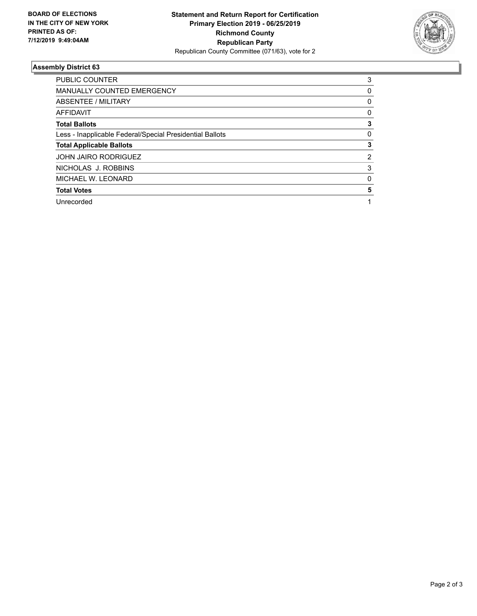

## **Assembly District 63**

| <b>PUBLIC COUNTER</b>                                    | 3 |
|----------------------------------------------------------|---|
| <b>MANUALLY COUNTED EMERGENCY</b>                        | 0 |
| ABSENTEE / MILITARY                                      | 0 |
| AFFIDAVIT                                                | 0 |
| <b>Total Ballots</b>                                     | 3 |
| Less - Inapplicable Federal/Special Presidential Ballots | 0 |
| <b>Total Applicable Ballots</b>                          | 3 |
| <b>JOHN JAIRO RODRIGUEZ</b>                              | 2 |
| NICHOLAS J. ROBBINS                                      | 3 |
| MICHAEL W. LEONARD                                       | 0 |
| <b>Total Votes</b>                                       | 5 |
| Unrecorded                                               |   |